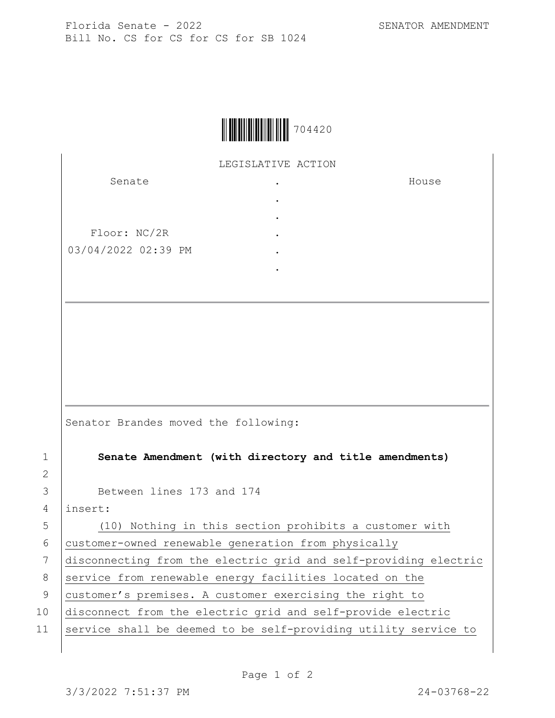House



LEGISLATIVE ACTION .

> . . . . .

Senate

Floor: NC/2R 03/04/2022 02:39 PM

Senator Brandes moved the following:

1 **Senate Amendment (with directory and title amendments)**

3 Between lines 173 and 174

4 insert:

2

5 (10) Nothing in this section prohibits a customer with 6 customer-owned renewable generation from physically

7 disconnecting from the electric grid and self-providing electric

8 service from renewable energy facilities located on the

9 customer's premises. A customer exercising the right to

10 disconnect from the electric grid and self-provide electric

11 Service shall be deemed to be self-providing utility service to